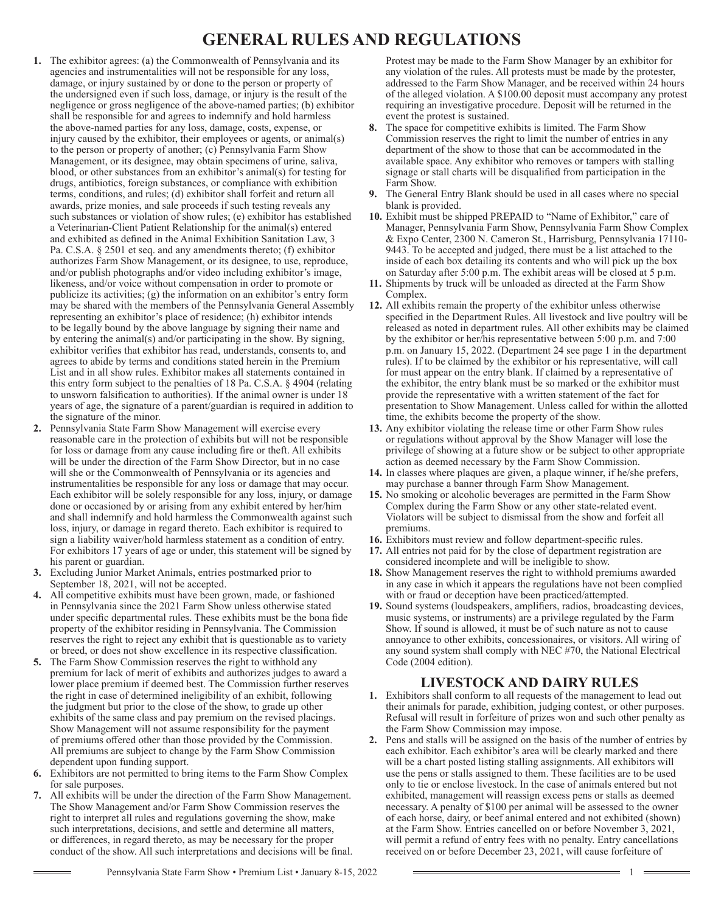# **GENERAL RULES AND REGULATIONS**

- **1.** The exhibitor agrees: (a) the Commonwealth of Pennsylvania and its agencies and instrumentalities will not be responsible for any loss, damage, or injury sustained by or done to the person or property of the undersigned even if such loss, damage, or injury is the result of the negligence or gross negligence of the above-named parties; (b) exhibitor shall be responsible for and agrees to indemnify and hold harmless the above-named parties for any loss, damage, costs, expense, or injury caused by the exhibitor, their employees or agents, or animal(s) to the person or property of another; (c) Pennsylvania Farm Show Management, or its designee, may obtain specimens of urine, saliva, blood, or other substances from an exhibitor's animal(s) for testing for drugs, antibiotics, foreign substances, or compliance with exhibition terms, conditions, and rules; (d) exhibitor shall forfeit and return all awards, prize monies, and sale proceeds if such testing reveals any such substances or violation of show rules; (e) exhibitor has established a Veterinarian-Client Patient Relationship for the animal(s) entered and exhibited as defined in the Animal Exhibition Sanitation Law, 3 Pa. C.S.A. § 2501 et seq. and any amendments thereto; (f) exhibitor authorizes Farm Show Management, or its designee, to use, reproduce, and/or publish photographs and/or video including exhibitor's image, likeness, and/or voice without compensation in order to promote or publicize its activities; (g) the information on an exhibitor's entry form may be shared with the members of the Pennsylvania General Assembly representing an exhibitor's place of residence; (h) exhibitor intends to be legally bound by the above language by signing their name and by entering the animal(s) and/or participating in the show. By signing, exhibitor verifies that exhibitor has read, understands, consents to, and agrees to abide by terms and conditions stated herein in the Premium List and in all show rules. Exhibitor makes all statements contained in this entry form subject to the penalties of 18 Pa. C.S.A. § 4904 (relating to unsworn falsification to authorities). If the animal owner is under 18 years of age, the signature of a parent/guardian is required in addition to the signature of the minor.
- **2.** Pennsylvania State Farm Show Management will exercise every reasonable care in the protection of exhibits but will not be responsible for loss or damage from any cause including fire or theft. All exhibits will be under the direction of the Farm Show Director, but in no case will she or the Commonwealth of Pennsylvania or its agencies and instrumentalities be responsible for any loss or damage that may occur. Each exhibitor will be solely responsible for any loss, injury, or damage done or occasioned by or arising from any exhibit entered by her/him and shall indemnify and hold harmless the Commonwealth against such loss, injury, or damage in regard thereto. Each exhibitor is required to sign a liability waiver/hold harmless statement as a condition of entry. For exhibitors 17 years of age or under, this statement will be signed by his parent or guardian.
- **3.** Excluding Junior Market Animals, entries postmarked prior to September 18, 2021, will not be accepted.
- **4.** All competitive exhibits must have been grown, made, or fashioned in Pennsylvania since the 2021 Farm Show unless otherwise stated under specific departmental rules. These exhibits must be the bona fide property of the exhibitor residing in Pennsylvania. The Commission reserves the right to reject any exhibit that is questionable as to variety or breed, or does not show excellence in its respective classification.
- **5.** The Farm Show Commission reserves the right to withhold any premium for lack of merit of exhibits and authorizes judges to award a lower place premium if deemed best. The Commission further reserves the right in case of determined ineligibility of an exhibit, following the judgment but prior to the close of the show, to grade up other exhibits of the same class and pay premium on the revised placings. Show Management will not assume responsibility for the payment of premiums offered other than those provided by the Commission. All premiums are subject to change by the Farm Show Commission dependent upon funding support.
- **6.** Exhibitors are not permitted to bring items to the Farm Show Complex for sale purposes.
- **7.** All exhibits will be under the direction of the Farm Show Management. The Show Management and/or Farm Show Commission reserves the right to interpret all rules and regulations governing the show, make such interpretations, decisions, and settle and determine all matters, or differences, in regard thereto, as may be necessary for the proper conduct of the show. All such interpretations and decisions will be final.

Pennsylvania State Farm Show • Premium List • January 8-15, 2022 1

Protest may be made to the Farm Show Manager by an exhibitor for any violation of the rules. All protests must be made by the protester, addressed to the Farm Show Manager, and be received within 24 hours of the alleged violation. A \$100.00 deposit must accompany any protest requiring an investigative procedure. Deposit will be returned in the event the protest is sustained.

- **8.** The space for competitive exhibits is limited. The Farm Show Commission reserves the right to limit the number of entries in any department of the show to those that can be accommodated in the available space. Any exhibitor who removes or tampers with stalling signage or stall charts will be disqualified from participation in the Farm Show.
- **9.** The General Entry Blank should be used in all cases where no special blank is provided.
- **10.** Exhibit must be shipped PREPAID to "Name of Exhibitor," care of Manager, Pennsylvania Farm Show, Pennsylvania Farm Show Complex & Expo Center, 2300 N. Cameron St., Harrisburg, Pennsylvania 17110- 9443. To be accepted and judged, there must be a list attached to the inside of each box detailing its contents and who will pick up the box on Saturday after 5:00 p.m. The exhibit areas will be closed at 5 p.m.
- **11.** Shipments by truck will be unloaded as directed at the Farm Show Complex.
- **12.** All exhibits remain the property of the exhibitor unless otherwise specified in the Department Rules. All livestock and live poultry will be released as noted in department rules. All other exhibits may be claimed by the exhibitor or her/his representative between 5:00 p.m. and 7:00 p.m. on January 15, 2022. (Department 24 see page 1 in the department rules). If to be claimed by the exhibitor or his representative, will call for must appear on the entry blank. If claimed by a representative of the exhibitor, the entry blank must be so marked or the exhibitor must provide the representative with a written statement of the fact for presentation to Show Management. Unless called for within the allotted time, the exhibits become the property of the show.
- **13.** Any exhibitor violating the release time or other Farm Show rules or regulations without approval by the Show Manager will lose the privilege of showing at a future show or be subject to other appropriate action as deemed necessary by the Farm Show Commission.
- **14.** In classes where plaques are given, a plaque winner, if he/she prefers, may purchase a banner through Farm Show Management.
- **15.** No smoking or alcoholic beverages are permitted in the Farm Show Complex during the Farm Show or any other state-related event. Violators will be subject to dismissal from the show and forfeit all premiums.
- **16.** Exhibitors must review and follow department-specific rules.
- **17.** All entries not paid for by the close of department registration are considered incomplete and will be ineligible to show.
- **18.** Show Management reserves the right to withhold premiums awarded in any case in which it appears the regulations have not been complied with or fraud or deception have been practiced/attempted.
- **19.** Sound systems (loudspeakers, amplifiers, radios, broadcasting devices, music systems, or instruments) are a privilege regulated by the Farm Show. If sound is allowed, it must be of such nature as not to cause annoyance to other exhibits, concessionaires, or visitors. All wiring of any sound system shall comply with NEC #70, the National Electrical Code (2004 edition).

# **LIVESTOCK AND DAIRY RULES**

- **1.** Exhibitors shall conform to all requests of the management to lead out their animals for parade, exhibition, judging contest, or other purposes. Refusal will result in forfeiture of prizes won and such other penalty as the Farm Show Commission may impose.
- **2.** Pens and stalls will be assigned on the basis of the number of entries by each exhibitor. Each exhibitor's area will be clearly marked and there will be a chart posted listing stalling assignments. All exhibitors will use the pens or stalls assigned to them. These facilities are to be used only to tie or enclose livestock. In the case of animals entered but not exhibited, management will reassign excess pens or stalls as deemed necessary. A penalty of \$100 per animal will be assessed to the owner of each horse, dairy, or beef animal entered and not exhibited (shown) at the Farm Show. Entries cancelled on or before November 3, 2021, will permit a refund of entry fees with no penalty. Entry cancellations received on or before December 23, 2021, will cause forfeiture of

 $\equiv$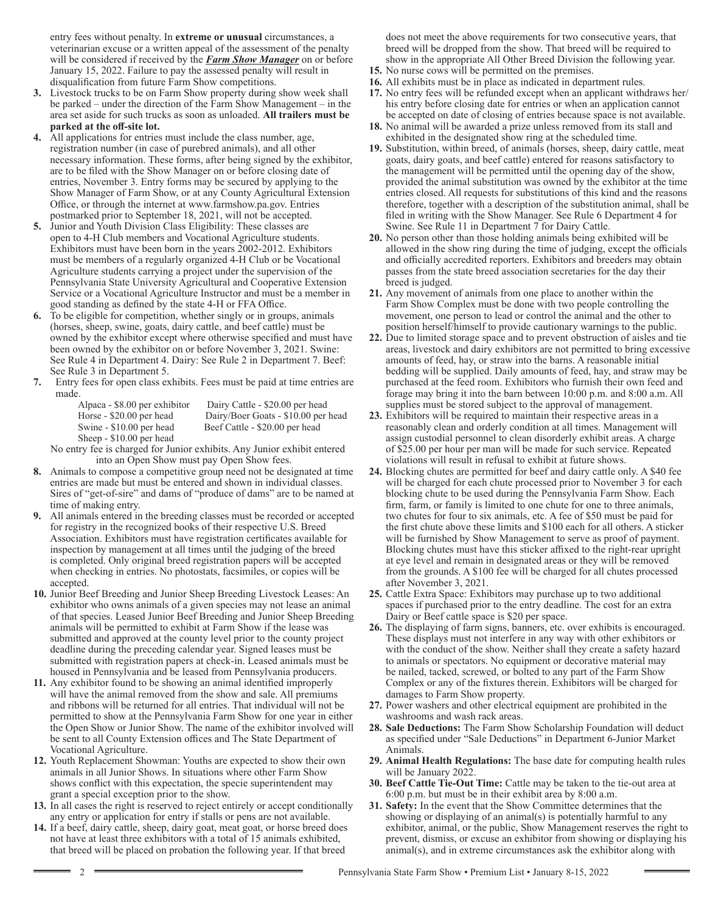entry fees without penalty. In **extreme or unusual** circumstances, a veterinarian excuse or a written appeal of the assessment of the penalty will be considered if received by the *Farm Show Manager* on or before January 15, 2022. Failure to pay the assessed penalty will result in disqualification from future Farm Show competitions.

- **3.** Livestock trucks to be on Farm Show property during show week shall be parked – under the direction of the Farm Show Management – in the area set aside for such trucks as soon as unloaded. **All trailers must be parked at the off-site lot.**
- **4.** All applications for entries must include the class number, age, registration number (in case of purebred animals), and all other necessary information. These forms, after being signed by the exhibitor, are to be filed with the Show Manager on or before closing date of entries, November 3. Entry forms may be secured by applying to the Show Manager of Farm Show, or at any County Agricultural Extension Office, or through the internet at www.farmshow.pa.gov. Entries postmarked prior to September 18, 2021, will not be accepted.
- **5.** Junior and Youth Division Class Eligibility: These classes are open to 4-H Club members and Vocational Agriculture students. Exhibitors must have been born in the years 2002-2012. Exhibitors must be members of a regularly organized 4-H Club or be Vocational Agriculture students carrying a project under the supervision of the Pennsylvania State University Agricultural and Cooperative Extension Service or a Vocational Agriculture Instructor and must be a member in good standing as defined by the state 4-H or FFA Office.
- **6.** To be eligible for competition, whether singly or in groups, animals (horses, sheep, swine, goats, dairy cattle, and beef cattle) must be owned by the exhibitor except where otherwise specified and must have been owned by the exhibitor on or before November 3, 2021. Swine: See Rule 4 in Department 4. Dairy: See Rule 2 in Department 7. Beef: See Rule 3 in Department 5.
- **7.** Entry fees for open class exhibits. Fees must be paid at time entries are made.
	- Sheep \$10.00 per head

Alpaca - \$8.00 per exhibitor Dairy Cattle - \$20.00 per head Horse - \$20.00 per head Dairy/Boer Goats - \$10.00 per head<br>Swine - \$10.00 per head Beef Cattle - \$20.00 per head Beef Cattle - \$20.00 per head

 No entry fee is charged for Junior exhibits. Any Junior exhibit entered into an Open Show must pay Open Show fees.

- **8.** Animals to compose a competitive group need not be designated at time entries are made but must be entered and shown in individual classes. Sires of "get-of-sire" and dams of "produce of dams" are to be named at time of making entry.
- **9.** All animals entered in the breeding classes must be recorded or accepted for registry in the recognized books of their respective U.S. Breed Association. Exhibitors must have registration certificates available for inspection by management at all times until the judging of the breed is completed. Only original breed registration papers will be accepted when checking in entries. No photostats, facsimiles, or copies will be accepted.
- **10.** Junior Beef Breeding and Junior Sheep Breeding Livestock Leases: An exhibitor who owns animals of a given species may not lease an animal of that species. Leased Junior Beef Breeding and Junior Sheep Breeding animals will be permitted to exhibit at Farm Show if the lease was submitted and approved at the county level prior to the county project deadline during the preceding calendar year. Signed leases must be submitted with registration papers at check-in. Leased animals must be housed in Pennsylvania and be leased from Pennsylvania producers.
- **11.** Any exhibitor found to be showing an animal identified improperly will have the animal removed from the show and sale. All premiums and ribbons will be returned for all entries. That individual will not be permitted to show at the Pennsylvania Farm Show for one year in either the Open Show or Junior Show. The name of the exhibitor involved will be sent to all County Extension offices and The State Department of Vocational Agriculture.
- **12.** Youth Replacement Showman: Youths are expected to show their own animals in all Junior Shows. In situations where other Farm Show shows conflict with this expectation, the specie superintendent may grant a special exception prior to the show.
- **13.** In all cases the right is reserved to reject entirely or accept conditionally any entry or application for entry if stalls or pens are not available.
- **14.** If a beef, dairy cattle, sheep, dairy goat, meat goat, or horse breed does not have at least three exhibitors with a total of 15 animals exhibited, that breed will be placed on probation the following year. If that breed

does not meet the above requirements for two consecutive years, that breed will be dropped from the show. That breed will be required to show in the appropriate All Other Breed Division the following year.

- **15.** No nurse cows will be permitted on the premises.
- **16.** All exhibits must be in place as indicated in department rules.
- **17.** No entry fees will be refunded except when an applicant withdraws her/ his entry before closing date for entries or when an application cannot be accepted on date of closing of entries because space is not available.
- **18.** No animal will be awarded a prize unless removed from its stall and exhibited in the designated show ring at the scheduled time.
- **19.** Substitution, within breed, of animals (horses, sheep, dairy cattle, meat goats, dairy goats, and beef cattle) entered for reasons satisfactory to the management will be permitted until the opening day of the show, provided the animal substitution was owned by the exhibitor at the time entries closed. All requests for substitutions of this kind and the reasons therefore, together with a description of the substitution animal, shall be filed in writing with the Show Manager. See Rule 6 Department 4 for Swine. See Rule 11 in Department 7 for Dairy Cattle.
- **20.** No person other than those holding animals being exhibited will be allowed in the show ring during the time of judging, except the officials and officially accredited reporters. Exhibitors and breeders may obtain passes from the state breed association secretaries for the day their breed is judged.
- **21.** Any movement of animals from one place to another within the Farm Show Complex must be done with two people controlling the movement, one person to lead or control the animal and the other to position herself/himself to provide cautionary warnings to the public.
- **22.** Due to limited storage space and to prevent obstruction of aisles and tie areas, livestock and dairy exhibitors are not permitted to bring excessive amounts of feed, hay, or straw into the barns. A reasonable initial bedding will be supplied. Daily amounts of feed, hay, and straw may be purchased at the feed room. Exhibitors who furnish their own feed and forage may bring it into the barn between 10:00 p.m. and 8:00 a.m. All supplies must be stored subject to the approval of management.
- **23.** Exhibitors will be required to maintain their respective areas in a reasonably clean and orderly condition at all times. Management will assign custodial personnel to clean disorderly exhibit areas. A charge of \$25.00 per hour per man will be made for such service. Repeated violations will result in refusal to exhibit at future shows.
- **24.** Blocking chutes are permitted for beef and dairy cattle only. A \$40 fee will be charged for each chute processed prior to November 3 for each blocking chute to be used during the Pennsylvania Farm Show. Each firm, farm, or family is limited to one chute for one to three animals, two chutes for four to six animals, etc. A fee of \$50 must be paid for the first chute above these limits and \$100 each for all others. A sticker will be furnished by Show Management to serve as proof of payment. Blocking chutes must have this sticker affixed to the right-rear upright at eye level and remain in designated areas or they will be removed from the grounds. A \$100 fee will be charged for all chutes processed after November 3, 2021.
- **25.** Cattle Extra Space: Exhibitors may purchase up to two additional spaces if purchased prior to the entry deadline. The cost for an extra Dairy or Beef cattle space is \$20 per space.
- **26.** The displaying of farm signs, banners, etc. over exhibits is encouraged. These displays must not interfere in any way with other exhibitors or with the conduct of the show. Neither shall they create a safety hazard to animals or spectators. No equipment or decorative material may be nailed, tacked, screwed, or bolted to any part of the Farm Show Complex or any of the fixtures therein. Exhibitors will be charged for damages to Farm Show property.
- **27.** Power washers and other electrical equipment are prohibited in the washrooms and wash rack areas.
- **28. Sale Deductions:** The Farm Show Scholarship Foundation will deduct as specified under "Sale Deductions" in Department 6-Junior Market Animals.
- **29. Animal Health Regulations:** The base date for computing health rules will be January 2022.
- **30. Beef Cattle Tie-Out Time:** Cattle may be taken to the tie-out area at 6:00 p.m. but must be in their exhibit area by 8:00 a.m.
- **31. Safety:** In the event that the Show Committee determines that the showing or displaying of an animal(s) is potentially harmful to any exhibitor, animal, or the public, Show Management reserves the right to prevent, dismiss, or excuse an exhibitor from showing or displaying his animal(s), and in extreme circumstances ask the exhibitor along with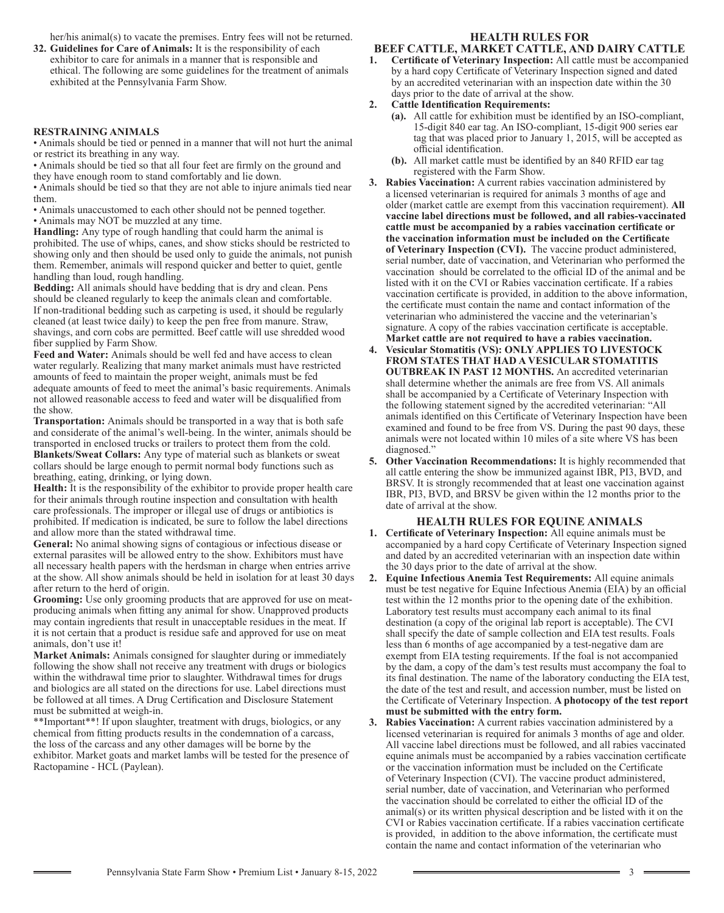her/his animal(s) to vacate the premises. Entry fees will not be returned.

**32. Guidelines for Care of Animals:** It is the responsibility of each exhibitor to care for animals in a manner that is responsible and ethical. The following are some guidelines for the treatment of animals exhibited at the Pennsylvania Farm Show.

## **RESTRAINING ANIMALS**

• Animals should be tied or penned in a manner that will not hurt the animal or restrict its breathing in any way.

• Animals should be tied so that all four feet are firmly on the ground and they have enough room to stand comfortably and lie down.

• Animals should be tied so that they are not able to injure animals tied near them.

• Animals unaccustomed to each other should not be penned together.

• Animals may NOT be muzzled at any time.

**Handling:** Any type of rough handling that could harm the animal is prohibited. The use of whips, canes, and show sticks should be restricted to showing only and then should be used only to guide the animals, not punish them. Remember, animals will respond quicker and better to quiet, gentle handling than loud, rough handling.

**Bedding:** All animals should have bedding that is dry and clean. Pens should be cleaned regularly to keep the animals clean and comfortable. If non-traditional bedding such as carpeting is used, it should be regularly cleaned (at least twice daily) to keep the pen free from manure. Straw, shavings, and corn cobs are permitted. Beef cattle will use shredded wood fiber supplied by Farm Show.

**Feed and Water:** Animals should be well fed and have access to clean water regularly. Realizing that many market animals must have restricted amounts of feed to maintain the proper weight, animals must be fed adequate amounts of feed to meet the animal's basic requirements. Animals not allowed reasonable access to feed and water will be disqualified from the show.

**Transportation:** Animals should be transported in a way that is both safe and considerate of the animal's well-being. In the winter, animals should be transported in enclosed trucks or trailers to protect them from the cold. **Blankets/Sweat Collars:** Any type of material such as blankets or sweat collars should be large enough to permit normal body functions such as breathing, eating, drinking, or lying down.

**Health:** It is the responsibility of the exhibitor to provide proper health care for their animals through routine inspection and consultation with health care professionals. The improper or illegal use of drugs or antibiotics is prohibited. If medication is indicated, be sure to follow the label directions and allow more than the stated withdrawal time.

**General:** No animal showing signs of contagious or infectious disease or external parasites will be allowed entry to the show. Exhibitors must have all necessary health papers with the herdsman in charge when entries arrive at the show. All show animals should be held in isolation for at least 30 days after return to the herd of origin.

**Grooming:** Use only grooming products that are approved for use on meatproducing animals when fitting any animal for show. Unapproved products may contain ingredients that result in unacceptable residues in the meat. If it is not certain that a product is residue safe and approved for use on meat animals, don't use it!

**Market Animals:** Animals consigned for slaughter during or immediately following the show shall not receive any treatment with drugs or biologics within the withdrawal time prior to slaughter. Withdrawal times for drugs and biologics are all stated on the directions for use. Label directions must be followed at all times. A Drug Certification and Disclosure Statement must be submitted at weigh-in.

\*\*Important\*\*! If upon slaughter, treatment with drugs, biologics, or any chemical from fitting products results in the condemnation of a carcass, the loss of the carcass and any other damages will be borne by the exhibitor. Market goats and market lambs will be tested for the presence of Ractopamine - HCL (Paylean).

#### **HEALTH RULES FOR BEEF CATTLE, MARKET CATTLE, AND DAIRY CATTLE**

- **1. Certificate of Veterinary Inspection:** All cattle must be accompanied by a hard copy Certificate of Veterinary Inspection signed and dated by an accredited veterinarian with an inspection date within the 30 days prior to the date of arrival at the show.
- **2. Cattle Identification Requirements:**
	- **(a).** All cattle for exhibition must be identified by an ISO-compliant, 15-digit 840 ear tag. An ISO-compliant, 15-digit 900 series ear tag that was placed prior to January 1, 2015, will be accepted as official identification.
	- **(b).** All market cattle must be identified by an 840 RFID ear tag registered with the Farm Show.
- **3. Rabies Vaccination:** A current rabies vaccination administered by a licensed veterinarian is required for animals 3 months of age and older (market cattle are exempt from this vaccination requirement). **All vaccine label directions must be followed, and all rabies-vaccinated cattle must be accompanied by a rabies vaccination certificate or the vaccination information must be included on the Certificate of Veterinary Inspection (CVI).** The vaccine product administered, serial number, date of vaccination, and Veterinarian who performed the vaccination should be correlated to the official ID of the animal and be listed with it on the CVI or Rabies vaccination certificate. If a rabies vaccination certificate is provided, in addition to the above information, the certificate must contain the name and contact information of the veterinarian who administered the vaccine and the veterinarian's signature. A copy of the rabies vaccination certificate is acceptable. **Market cattle are not required to have a rabies vaccination.**
- **4. Vesicular Stomatitis (VS): ONLY APPLIES TO LIVESTOCK FROM STATES THAT HAD A VESICULAR STOMATITIS OUTBREAK IN PAST 12 MONTHS.** An accredited veterinarian shall determine whether the animals are free from VS. All animals shall be accompanied by a Certificate of Veterinary Inspection with the following statement signed by the accredited veterinarian: "All animals identified on this Certificate of Veterinary Inspection have been examined and found to be free from VS. During the past 90 days, these animals were not located within 10 miles of a site where VS has been diagnosed."
- **5. Other Vaccination Recommendations:** It is highly recommended that all cattle entering the show be immunized against IBR, PI3, BVD, and BRSV. It is strongly recommended that at least one vaccination against IBR, PI3, BVD, and BRSV be given within the 12 months prior to the date of arrival at the show.

#### **HEALTH RULES FOR EQUINE ANIMALS**

- **1. Certificate of Veterinary Inspection:** All equine animals must be accompanied by a hard copy Certificate of Veterinary Inspection signed and dated by an accredited veterinarian with an inspection date within the 30 days prior to the date of arrival at the show.
- **2. Equine Infectious Anemia Test Requirements:** All equine animals must be test negative for Equine Infectious Anemia (EIA) by an official test within the 12 months prior to the opening date of the exhibition. Laboratory test results must accompany each animal to its final destination (a copy of the original lab report is acceptable). The CVI shall specify the date of sample collection and EIA test results. Foals less than 6 months of age accompanied by a test-negative dam are exempt from EIA testing requirements. If the foal is not accompanied by the dam, a copy of the dam's test results must accompany the foal to its final destination. The name of the laboratory conducting the EIA test, the date of the test and result, and accession number, must be listed on the Certificate of Veterinary Inspection. **A photocopy of the test report must be submitted with the entry form.**

**3. Rabies Vaccination:** A current rabies vaccination administered by a licensed veterinarian is required for animals 3 months of age and older. All vaccine label directions must be followed, and all rabies vaccinated equine animals must be accompanied by a rabies vaccination certificate or the vaccination information must be included on the Certificate of Veterinary Inspection (CVI). The vaccine product administered, serial number, date of vaccination, and Veterinarian who performed the vaccination should be correlated to either the official ID of the animal(s) or its written physical description and be listed with it on the CVI or Rabies vaccination certificate. If a rabies vaccination certificate is provided, in addition to the above information, the certificate must contain the name and contact information of the veterinarian who